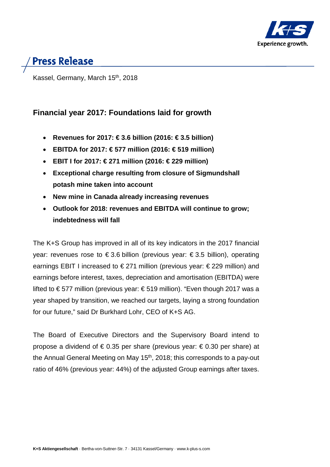

# **Press Release**

Kassel, Germany, March 15<sup>th</sup>, 2018

# **Financial year 2017: Foundations laid for growth**

- **Revenues for 2017: € 3.6 billion (2016: € 3.5 billion)**
- **EBITDA for 2017: € 577 million (2016: € 519 million)**
- **EBIT I for 2017: € 271 million (2016: € 229 million)**
- **Exceptional charge resulting from closure of Sigmundshall potash mine taken into account**
- **New mine in Canada already increasing revenues**
- **Outlook for 2018: revenues and EBITDA will continue to grow; indebtedness will fall**

The K+S Group has improved in all of its key indicators in the 2017 financial year: revenues rose to  $\epsilon$ 3.6 billion (previous year:  $\epsilon$ 3.5 billion), operating earnings EBIT I increased to € 271 million (previous year: € 229 million) and earnings before interest, taxes, depreciation and amortisation (EBITDA) were lifted to € 577 million (previous year: € 519 million). "Even though 2017 was a year shaped by transition, we reached our targets, laying a strong foundation for our future," said Dr Burkhard Lohr, CEO of K+S AG.

The Board of Executive Directors and the Supervisory Board intend to propose a dividend of €0.35 per share (previous year: €0.30 per share) at the Annual General Meeting on May  $15<sup>th</sup>$ , 2018; this corresponds to a pay-out ratio of 46% (previous year: 44%) of the adjusted Group earnings after taxes.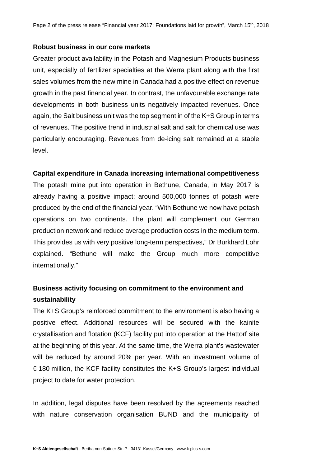### **Robust business in our core markets**

Greater product availability in the Potash and Magnesium Products business unit, especially of fertilizer specialties at the Werra plant along with the first sales volumes from the new mine in Canada had a positive effect on revenue growth in the past financial year. In contrast, the unfavourable exchange rate developments in both business units negatively impacted revenues. Once again, the Salt business unit was the top segment in of the K+S Group in terms of revenues. The positive trend in industrial salt and salt for chemical use was particularly encouraging. Revenues from de-icing salt remained at a stable level.

### **Capital expenditure in Canada increasing international competitiveness**

The potash mine put into operation in Bethune, Canada, in May 2017 is already having a positive impact: around 500,000 tonnes of potash were produced by the end of the financial year. "With Bethune we now have potash operations on two continents. The plant will complement our German production network and reduce average production costs in the medium term. This provides us with very positive long-term perspectives," Dr Burkhard Lohr explained. "Bethune will make the Group much more competitive internationally."

## **Business activity focusing on commitment to the environment and sustainability**

The K+S Group's reinforced commitment to the environment is also having a positive effect. Additional resources will be secured with the kainite crystallisation and flotation (KCF) facility put into operation at the Hattorf site at the beginning of this year. At the same time, the Werra plant's wastewater will be reduced by around 20% per year. With an investment volume of  $\epsilon$  180 million, the KCF facility constitutes the K+S Group's largest individual project to date for water protection.

In addition, legal disputes have been resolved by the agreements reached with nature conservation organisation BUND and the municipality of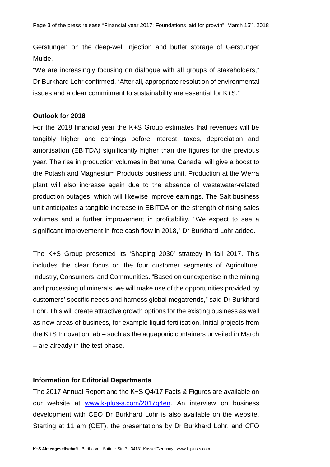Gerstungen on the deep-well injection and buffer storage of Gerstunger Mulde.

"We are increasingly focusing on dialogue with all groups of stakeholders," Dr Burkhard Lohr confirmed. "After all, appropriate resolution of environmental issues and a clear commitment to sustainability are essential for K+S."

#### **Outlook for 2018**

For the 2018 financial year the K+S Group estimates that revenues will be tangibly higher and earnings before interest, taxes, depreciation and amortisation (EBITDA) significantly higher than the figures for the previous year. The rise in production volumes in Bethune, Canada, will give a boost to the Potash and Magnesium Products business unit. Production at the Werra plant will also increase again due to the absence of wastewater-related production outages, which will likewise improve earnings. The Salt business unit anticipates a tangible increase in EBITDA on the strength of rising sales volumes and a further improvement in profitability. "We expect to see a significant improvement in free cash flow in 2018," Dr Burkhard Lohr added.

The K+S Group presented its 'Shaping 2030' strategy in fall 2017. This includes the clear focus on the four customer segments of Agriculture, Industry, Consumers, and Communities. "Based on our expertise in the mining and processing of minerals, we will make use of the opportunities provided by customers' specific needs and harness global megatrends," said Dr Burkhard Lohr. This will create attractive growth options for the existing business as well as new areas of business, for example liquid fertilisation. Initial projects from the K+S InnovationLab – such as the aquaponic containers unveiled in March – are already in the test phase.

## **Information for Editorial Departments**

The 2017 Annual Report and the K+S Q4/17 Facts & Figures are available on our website at [www.k-plus-s.com/2017q4en.](http://www.k-plus-s.com/2017q4en) An interview on business development with CEO Dr Burkhard Lohr is also available on the website. Starting at 11 am (CET), the presentations by Dr Burkhard Lohr, and CFO